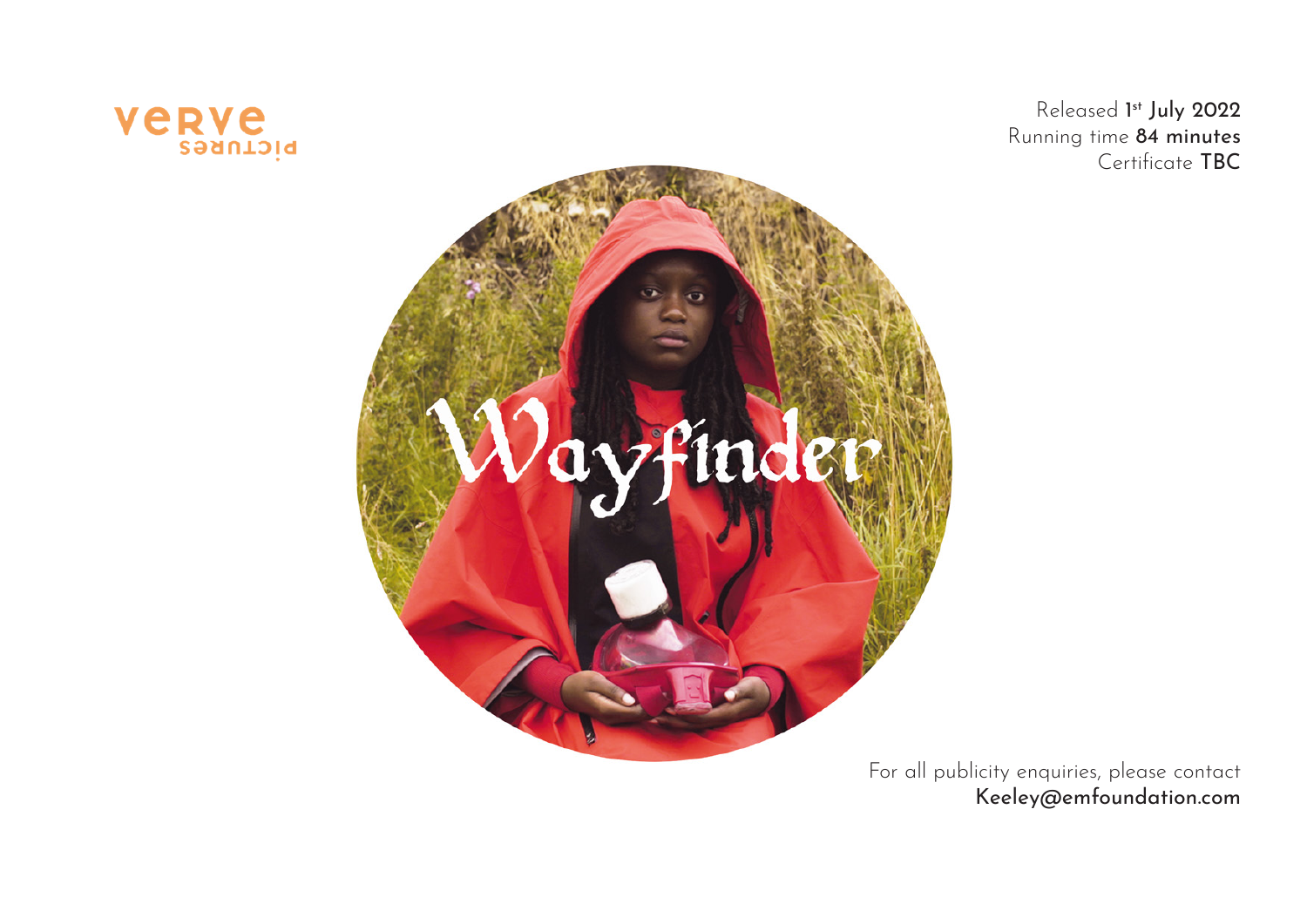

Released 1<sup>st</sup> July 2022 Running time 84 minutes Certificate TBC



For all publicity enquiries, please contact Keeley@emfoundation.com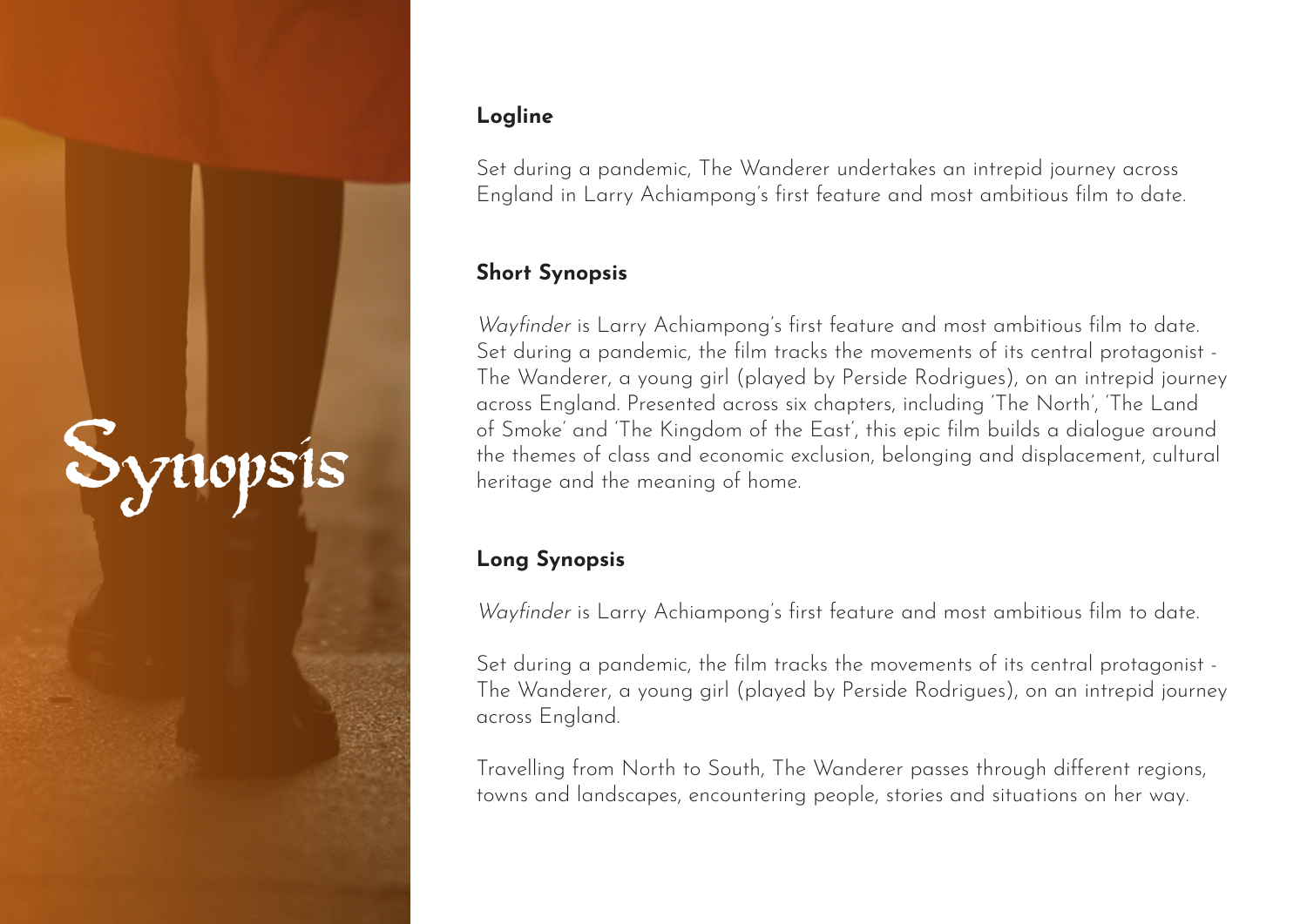# Synopsi

### **Logline**

Set during a pandemic, The Wanderer undertakes an intrepid journey across England in Larry Achiampong's first feature and most ambitious film to date.

### **Short Synopsis**

Wayfinder is Larry Achiampong's first feature and most ambitious film to date. Set during a pandemic, the film tracks the movements of its central protagonist - The Wanderer, a young girl (played by Perside Rodrigues), on an intrepid journey across England. Presented across six chapters, including 'The North', 'The Land of Smoke' and 'The Kingdom of the East', this epic film builds a dialogue around the themes of class and economic exclusion, belonging and displacement, cultural heritage and the meaning of home.

### **Long Synopsis**

Wayfinder is Larry Achiampong's first feature and most ambitious film to date.

Set during a pandemic, the film tracks the movements of its central protagonist - The Wanderer, a young girl (played by Perside Rodrigues), on an intrepid journey across England.

Travelling from North to South, The Wanderer passes through different regions, towns and landscapes, encountering people, stories and situations on her way.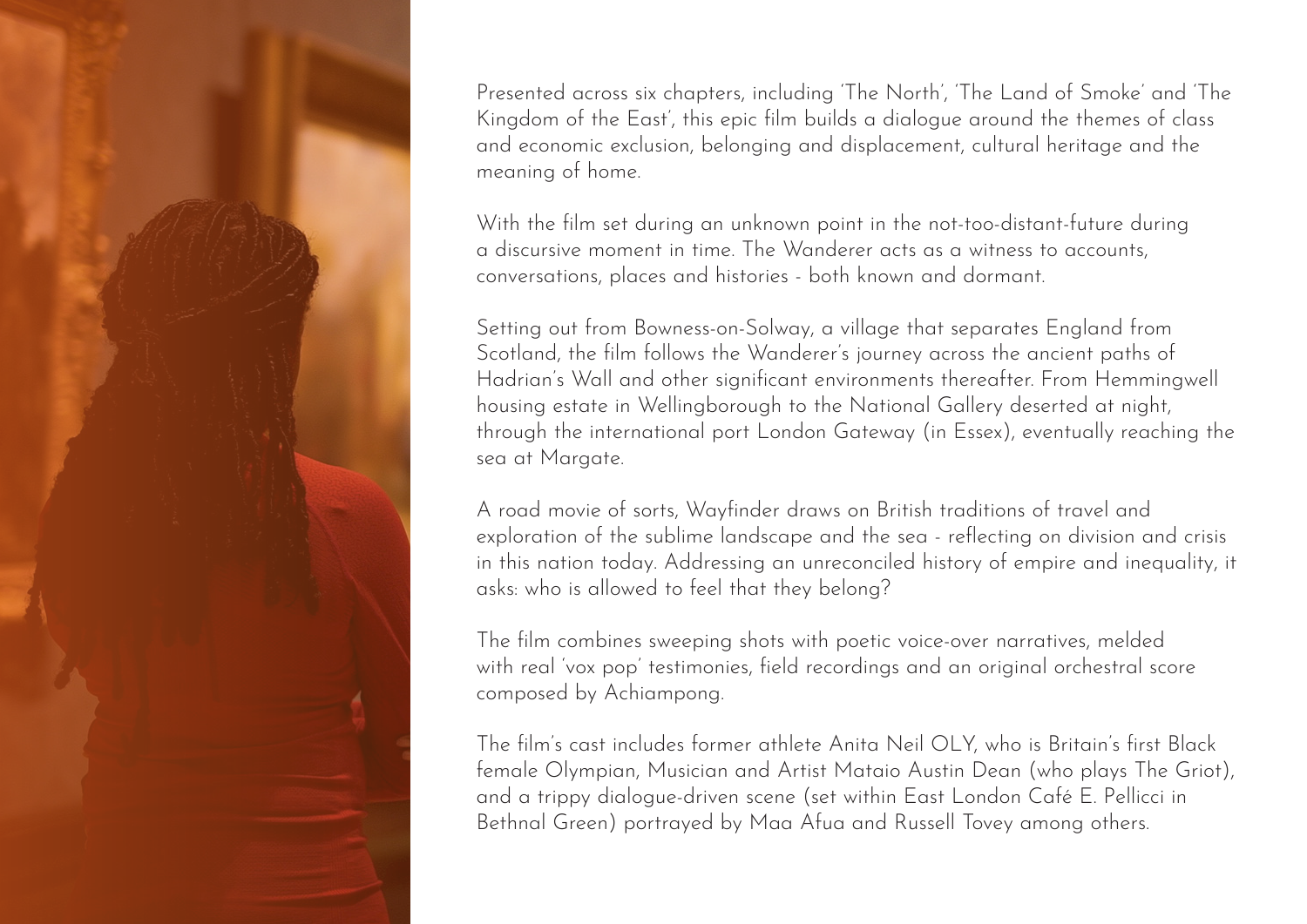Presented across six chapters, including 'The North', 'The Land of Smoke' and 'The Kingdom of the East', this epic film builds a dialogue around the themes of class and economic exclusion, belonging and displacement, cultural heritage and the meaning of home.

With the film set during an unknown point in the not-too-distant-future during a discursive moment in time. The Wanderer acts as a witness to accounts, conversations, places and histories - both known and dormant.

Setting out from Bowness-on-Solway, a village that separates England from Scotland, the film follows the Wanderer's journey across the ancient paths of Hadrian's Wall and other significant environments thereafter. From Hemmingwell housing estate in Wellingborough to the National Gallery deserted at night, through the international port London Gateway (in Essex), eventually reaching the sea at Margate.

A road movie of sorts, Wayfinder draws on British traditions of travel and exploration of the sublime landscape and the sea - reflecting on division and crisis in this nation today. Addressing an unreconciled history of empire and inequality, it asks: who is allowed to feel that they belong?

The film combines sweeping shots with poetic voice-over narratives, melded with real 'vox pop' testimonies, field recordings and an original orchestral score composed by Achiampong.

The film's cast includes former athlete Anita Neil OLY, who is Britain's first Black female Olympian, Musician and Artist Mataio Austin Dean (who plays The Griot), and a trippy dialogue-driven scene (set within East London Café E. Pellicci in Bethnal Green) portrayed by Maa Afua and Russell Tovey among others.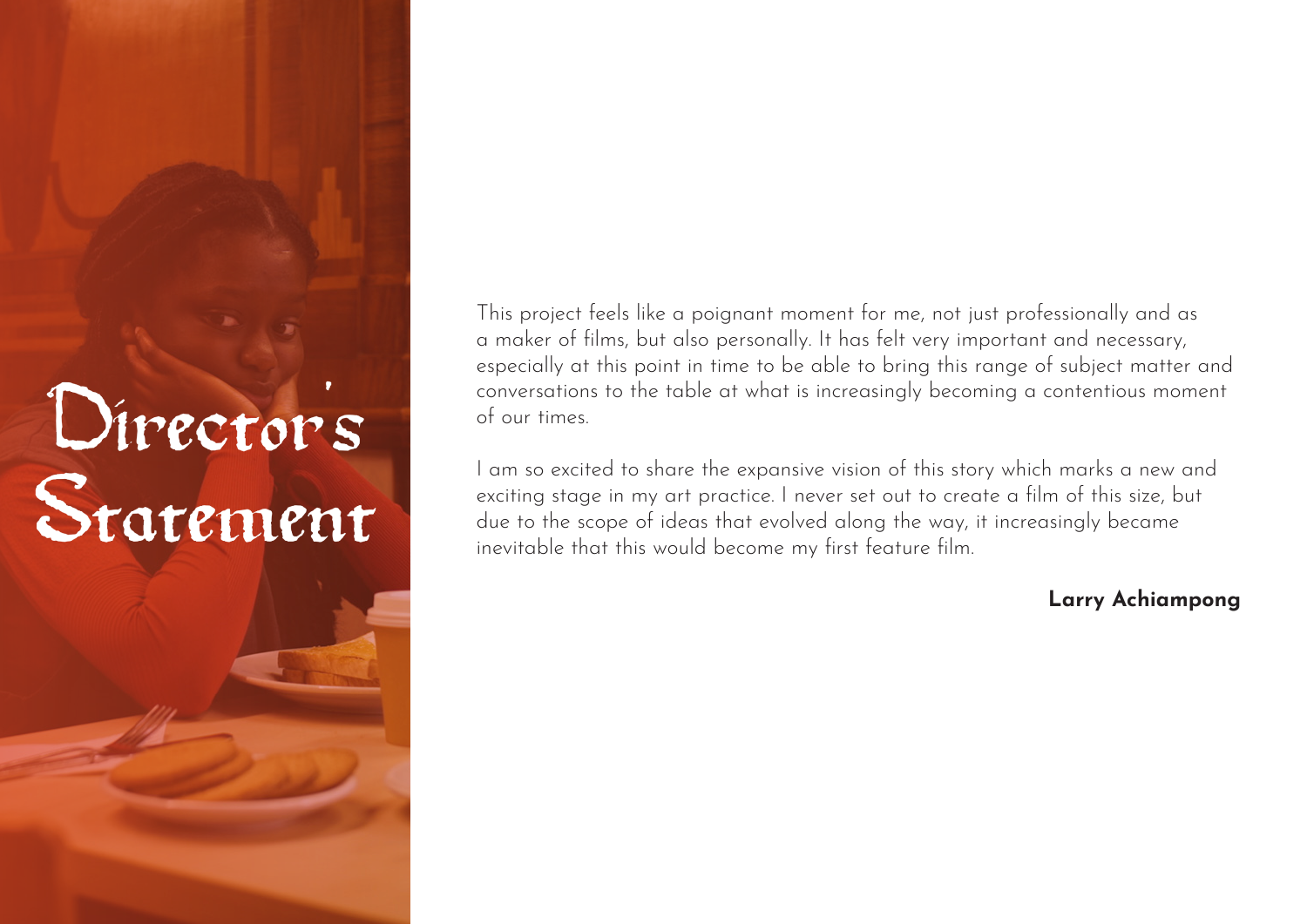### Directors Statement

This project feels like a poignant moment for me, not just professionally and as a maker of films, but also personally. It has felt very important and necessary, especially at this point in time to be able to bring this range of subject matter and conversations to the table at what is increasingly becoming a contentious moment of our times.

I am so excited to share the expansive vision of this story which marks a new and exciting stage in my art practice. I never set out to create a film of this size, but due to the scope of ideas that evolved along the way, it increasingly became inevitable that this would become my first feature film.

### **Larry Achiampong**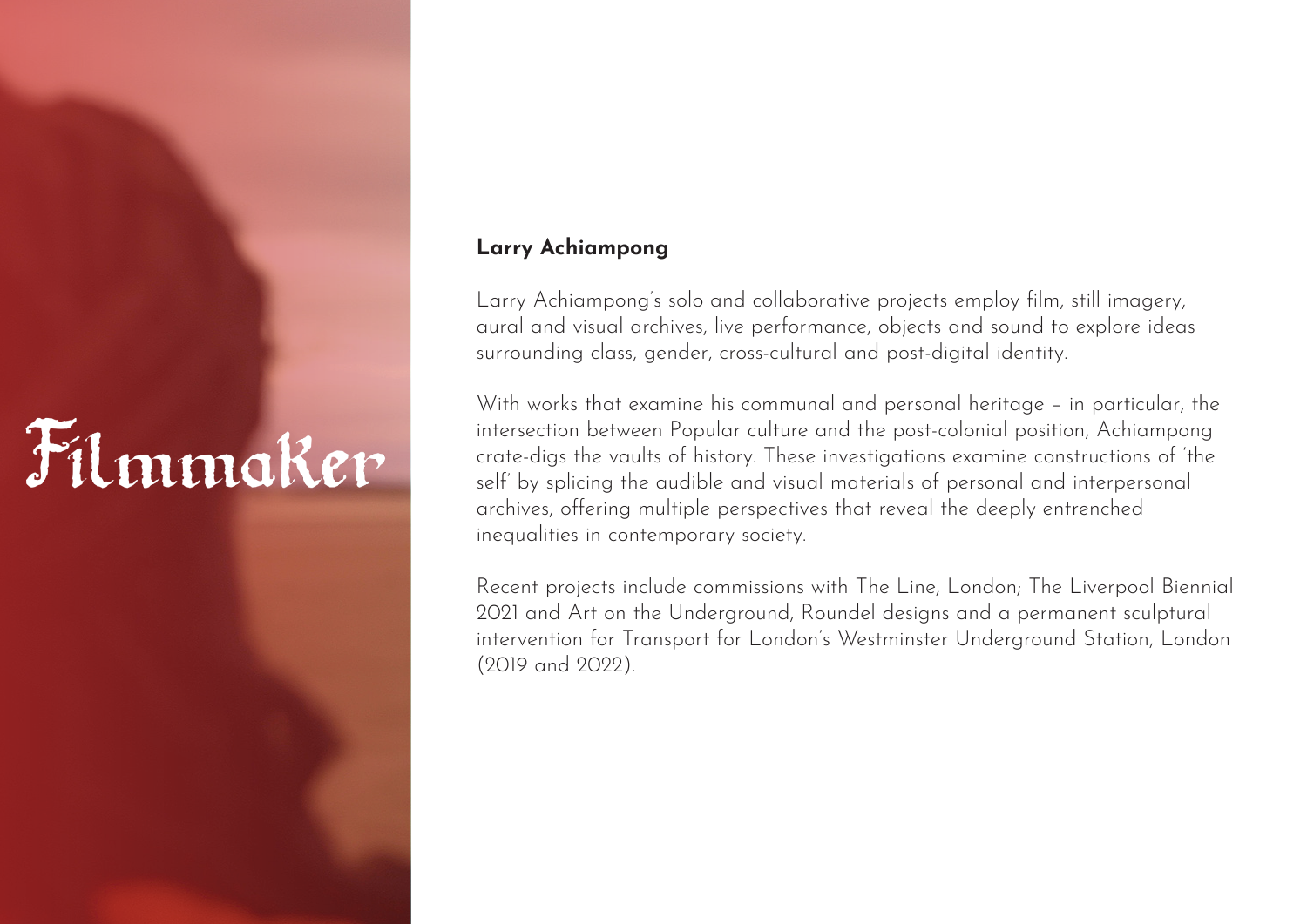## Filmmaker

### **Larry Achiampong**

Larry Achiampong's solo and collaborative projects employ film, still imagery, aural and visual archives, live performance, objects and sound to explore ideas surrounding class, gender, cross-cultural and post-digital identity.

With works that examine his communal and personal heritage – in particular, the intersection between Popular culture and the post-colonial position, Achiampong crate-digs the vaults of history. These investigations examine constructions of 'the self' by splicing the audible and visual materials of personal and interpersonal archives, offering multiple perspectives that reveal the deeply entrenched inequalities in contemporary society.

Recent projects include commissions with The Line, London; The Liverpool Biennial 2021 and Art on the Underground, Roundel designs and a permanent sculptural intervention for Transport for London's Westminster Underground Station, London (2019 and 2022).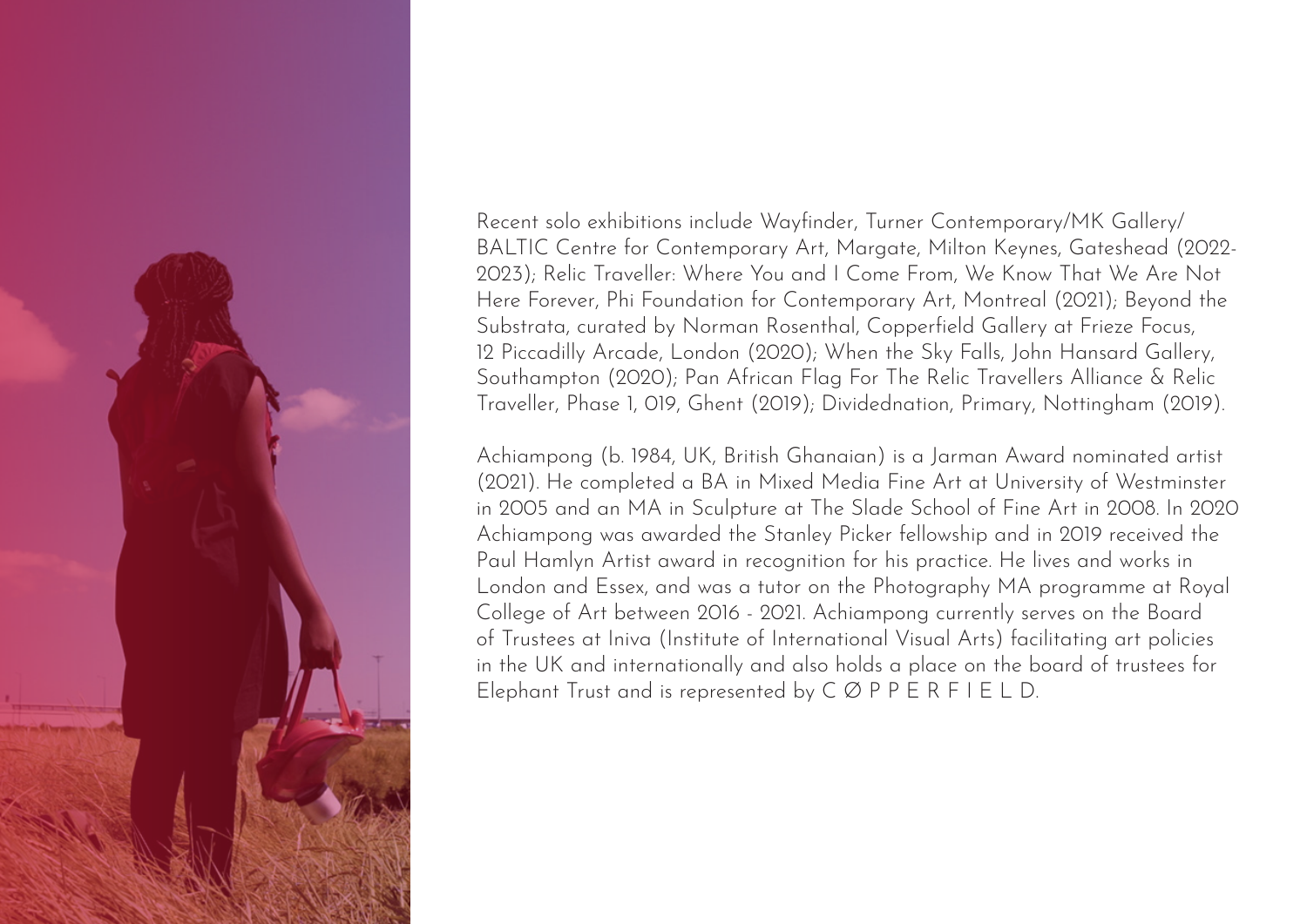

Recent solo exhibitions include Wayfinder, Turner Contemporary/MK Gallery/ BALTIC Centre for Contemporary Art, Margate, Milton Keynes, Gateshead (2022- 2023); Relic Traveller: Where You and I Come From, We Know That We Are Not Here Forever, Phi Foundation for Contemporary Art, Montreal (2021); Beyond the Substrata, curated by Norman Rosenthal, Copperfield Gallery at Frieze Focus, 12 Piccadilly Arcade, London (2020); When the Sky Falls, John Hansard Gallery, Southampton (2020); Pan African Flag For The Relic Travellers Alliance & Relic Traveller, Phase 1, 019, Ghent (2019); Dividednation, Primary, Nottingham (2019).

Achiampong (b. 1984, UK, British Ghanaian) is a Jarman Award nominated artist (2021). He completed a BA in Mixed Media Fine Art at University of Westminster in 2005 and an MA in Sculpture at The Slade School of Fine Art in 2008. In 2020 Achiampong was awarded the Stanley Picker fellowship and in 2019 received the Paul Hamlyn Artist award in recognition for his practice. He lives and works in London and Essex, and was a tutor on the Photography MA programme at Royal College of Art between 2016 - 2021. Achiampong currently serves on the Board of Trustees at Iniva (Institute of International Visual Arts) facilitating art policies in the UK and internationally and also holds a place on the board of trustees for Elephant Trust and is represented by C Ø P P E R F I E L D.